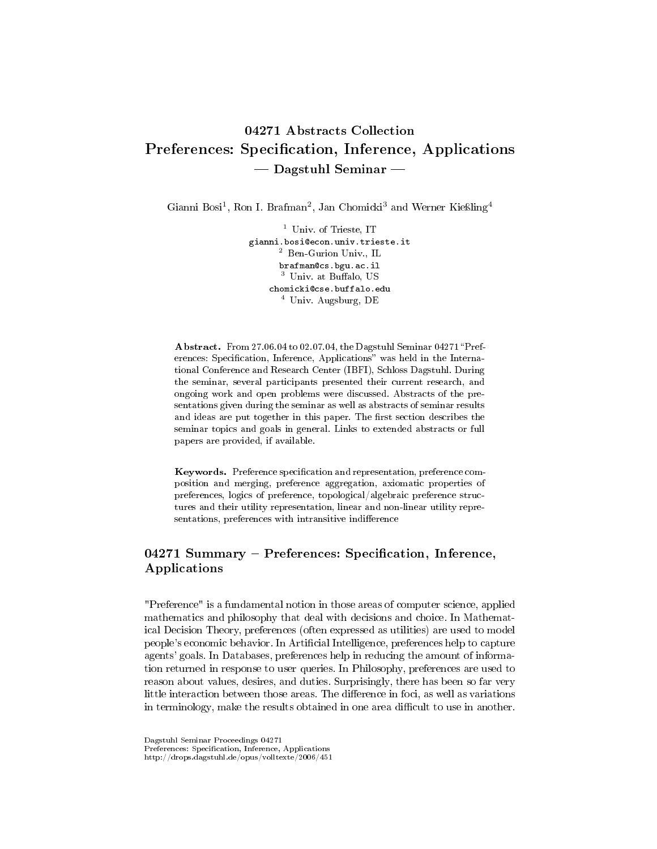# 04271 Abstracts Collection Preferences: Specification, Inference, Applications  $-$  Dagstuhl Seminar  $-$

Gianni Bosi<sup>1</sup>, Ron I. Brafman<sup>2</sup>, Jan Chomicki<sup>3</sup> and Werner Kießling<sup>4</sup>

<sup>1</sup> Univ. of Trieste, IT gianni.bosi@econ.univ.trieste.it <sup>2</sup> Ben-Gurion Univ., IL brafman@cs.bgu.ac.il <sup>3</sup> Univ. at Buffalo, US chomicki@cse.buffalo.edu <sup>4</sup> Univ. Augsburg, DE

Abstract. From 27.06.04 to 02.07.04, the Dagstuhl Seminar 04271 "Preferences: Specification, Inference, Applications" was held in the International Conference and Research Center (IBFI), Schloss Dagstuhl. During the seminar, several participants presented their current research, and ongoing work and open problems were discussed. Abstracts of the presentations given during the seminar as well as abstracts of seminar results and ideas are put together in this paper. The first section describes the seminar topics and goals in general. Links to extended abstracts or full papers are provided, if available.

Keywords. Preference specification and representation, preference composition and merging, preference aggregation, axiomatic properties of preferences, logics of preference, topological/algebraic preference structures and their utility representation, linear and non-linear utility representations, preferences with intransitive indifference

## 04271 Summary - Preferences: Specification, Inference, Applications

"Preference" is a fundamental notion in those areas of computer science, applied mathematics and philosophy that deal with decisions and choice. In Mathematical Decision Theory, preferences (often expressed as utilities) are used to model people's economic behavior. In Artificial Intelligence, preferences help to capture agents' goals. In Databases, preferences help in reducing the amount of information returned in response to user queries. In Philosophy, preferences are used to reason about values, desires, and duties. Surprisingly, there has been so far very little interaction between those areas. The difference in foci, as well as variations in terminology, make the results obtained in one area difficult to use in another.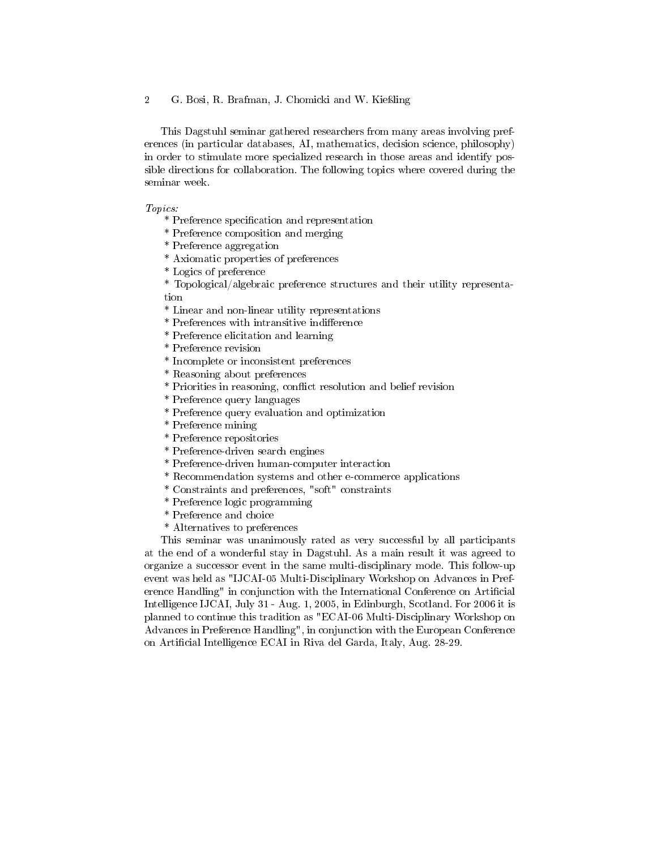This Dagstuhl seminar gathered researchers from many areas involving preferences (in particular databases, AI, mathematics, decision science, philosophy) in order to stimulate more specialized research in those areas and identify possible directions for collaboration. The following topics where covered during the seminar week.

#### Topics:

\* Preference specification and representation

- \* Preference composition and merging
- \* Preference aggregation
- \* Axiomatic properties of preferences
- \* Logics of preference

\* Topological/algebraic preference structures and their utility representation

- \* Linear and non-linear utility representations
- \* Preferences with intransitive indierence
- \* Preference elicitation and learning
- \* Preference revision
- \* Incomplete or inconsistent preferences
- \* Reasoning about preferences
- \* Priorities in reasoning, conflict resolution and belief revision
- \* Preference query languages
- \* Preference query evaluation and optimization
- \* Preference mining
- \* Preference repositories
- \* Preference-driven search engines
- \* Preference-driven human-computer interaction
- \* Recommendation systems and other e-commerce applications
- \* Constraints and preferences, "soft" constraints
- \* Preference logic programming
- \* Preference and choice
- \* Alternatives to preferences

This seminar was unanimously rated as very successful by all participants at the end of a wonderful stay in Dagstuhl. As a main result it was agreed to organize a successor event in the same multi-disciplinary mode. This follow-up event was held as "IJCAI-05 Multi-Disciplinary Workshop on Advances in Preference Handling" in conjunction with the International Conference on Artificial Intelligence IJCAI, July 31 - Aug. 1, 2005, in Edinburgh, Scotland. For 2006 it is planned to continue this tradition as "ECAI-06 Multi-Disciplinary Workshop on Advances in Preference Handling", in conjunction with the European Conference on Artificial Intelligence ECAI in Riva del Garda, Italy, Aug. 28-29.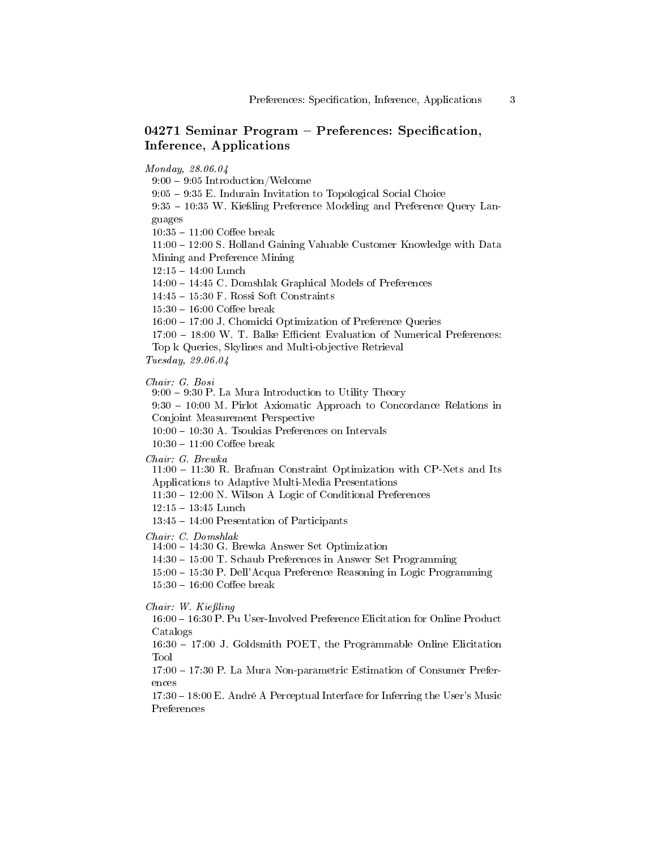## 04271 Seminar Program  $-$  Preferences: Specification, Inference, Applications

Monday, 28.06.04

 $9:00 - 9:05$  Introduction/Welcome

9:05 9:35 E. Indurain Invitation to Topological Social Choice

 $9:35 - 10:35$  W. Kießling Preference Modeling and Preference Query Languages

 $10:35 - 11:00$  Coffee break

11:00 12:00 S. Holland Gaining Valuable Customer Knowledge with Data Mining and Preference Mining

 $12:15 - 14:00$  Lunch

14:00 14:45 C. Domshlak Graphical Models of Preferences

 $14:45 - 15:30$  F. Rossi Soft Constraints

 $15:30 - 16:00$  Coffee break

16:00 17:00 J. Chomicki Optimization of Preference Queries

 $17:00 - 18:00$  W. T. Balke Efficient Evaluation of Numerical Preferences:

Top k Queries, Skylines and Multi-objective Retrieval

Tuesday, 29.06.04

Chair: G. Bosi

 $9:00 - 9:30$  P. La Mura Introduction to Utility Theory

 $9:30 - 10:00$  M. Pirlot Axiomatic Approach to Concordance Relations in Conjoint Measurement Perspective

 $10:00 - 10:30$  A. Tsoukias Preferences on Intervals

 $10:30 - 11:00$  Coffee break

Chair: G. Brewka

 $11:00 - 11:30$  R. Brafman Constraint Optimization with CP-Nets and Its Applications to Adaptive Multi-Media Presentations

 $11:30 - 12:00$  N. Wilson A Logic of Conditional Preferences

 $12:15 - 13:45$  Lunch

 $13:45 - 14:00$  Presentation of Participants

Chair: C. Domshlak

14:00 14:30 G. Brewka Answer Set Optimization

14:30 15:00 T. Schaub Preferences in Answer Set Programming

15:00 15:30 P. Dell'Acqua Preference Reasoning in Logic Programming

 $15:30 - 16:00$  Coffee break

Chair: W. Kießling

16:00 16:30 P. Pu User-Involved Preference Elicitation for Online Product Catalogs

16:30 17:00 J. Goldsmith POET, the Programmable Online Elicitation Tool

17:00 17:30 P. La Mura Non-parametric Estimation of Consumer Preferences

 $17:30 - 18:00$  E. André A Perceptual Interface for Inferring the User's Music Preferences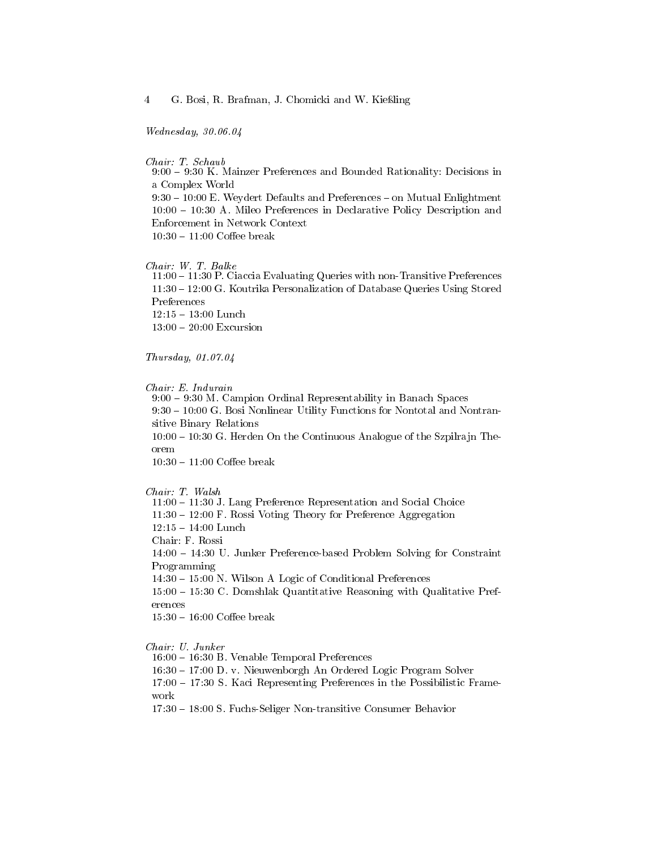Wednesday, 30.06.04

Chair: T. Schaub 9:00 9:30 K. Mainzer Preferences and Bounded Rationality: Decisions in a Complex World  $9:30 - 10:00$  E. Weydert Defaults and Preferences  $-$  on Mutual Enlightment 10:00 10:30 A. Mileo Preferences in Declarative Policy Description and Enforcement in Network Context  $10:30 - 11:00$  Coffee break

#### Chair: W. T. Balke

11:00 11:30 P. Ciaccia Evaluating Queries with non-Transitive Preferences 11:30 12:00 G. Koutrika Personalization of Database Queries Using Stored Preferences  $12:15 - 13:00$  Lunch  $13:00 - 20:00$  Excursion

Thursday, 01.07.04

Chair: E. Indurain

9:00 9:30 M. Campion Ordinal Representability in Banach Spaces 9:30 10:00 G. Bosi Nonlinear Utility Functions for Nontotal and Nontransitive Binary Relations 10:00 10:30 G. Herden On the Continuous Analogue of the Szpilrajn Theorem  $10:30 - 11:00$  Coffee break

Chair: T. Walsh

11:00 11:30 J. Lang Preference Representation and Social Choice

 $11:30 - 12:00$  F. Rossi Voting Theory for Preference Aggregation

 $12:15 - 14:00$  Lunch

Chair: F. Rossi

14:00 14:30 U. Junker Preference-based Problem Solving for Constraint Programming

 $14:30 - 15:00$  N. Wilson A Logic of Conditional Preferences

15:00 15:30 C. Domshlak Quantitative Reasoning with Qualitative Preferences

 $15:30 - 16:00$  Coffee break

Chair: U. Junker

16:00 16:30 B. Venable Temporal Preferences

16:30 17:00 D. v. Nieuwenborgh An Ordered Logic Program Solver

17:00 17:30 S. Kaci Representing Preferences in the Possibilistic Framework

17:30 18:00 S. Fuchs-Seliger Non-transitive Consumer Behavior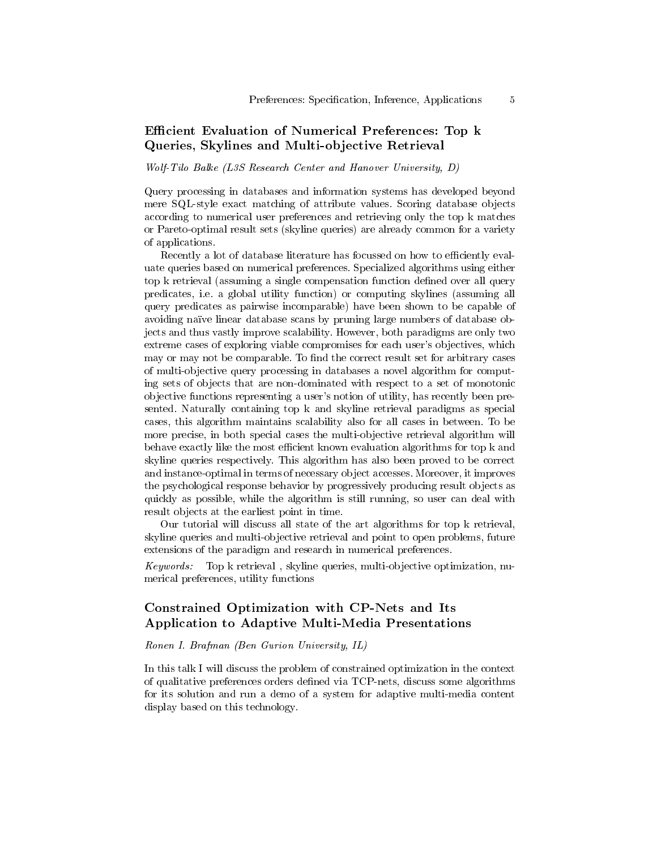## Efficient Evaluation of Numerical Preferences: Top k Queries, Skylines and Multi-objective Retrieval

Wolf-Tilo Balke (L3S Research Center and Hanover University, D)

Query processing in databases and information systems has developed beyond mere SQL-style exact matching of attribute values. Scoring database objects according to numerical user preferences and retrieving only the top k matches or Pareto-optimal result sets (skyline queries) are already common for a variety of applications.

Recently a lot of database literature has focussed on how to efficiently evaluate queries based on numerical preferences. Specialized algorithms using either top k retrieval (assuming a single compensation function defined over all query predicates, i.e. a global utility function) or computing skylines (assuming all query predicates as pairwise incomparable) have been shown to be capable of avoiding naïve linear database scans by pruning large numbers of database objects and thus vastly improve scalability. However, both paradigms are only two extreme cases of exploring viable compromises for each user's objectives, which may or may not be comparable. To find the correct result set for arbitrary cases of multi-objective query processing in databases a novel algorithm for computing sets of objects that are non-dominated with respect to a set of monotonic objective functions representing a user's notion of utility, has recently been presented. Naturally containing top k and skyline retrieval paradigms as special cases, this algorithm maintains scalability also for all cases in between. To be more precise, in both special cases the multi-objective retrieval algorithm will behave exactly like the most efficient known evaluation algorithms for top k and skyline queries respectively. This algorithm has also been proved to be correct and instance-optimal in terms of necessary object accesses. Moreover, it improves the psychological response behavior by progressively producing result objects as quickly as possible, while the algorithm is still running, so user can deal with result objects at the earliest point in time.

Our tutorial will discuss all state of the art algorithms for top k retrieval, skyline queries and multi-objective retrieval and point to open problems, future extensions of the paradigm and research in numerical preferences.

Keywords: Top k retrieval , skyline queries, multi-objective optimization, numerical preferences, utility functions

### Constrained Optimization with CP-Nets and Its Application to Adaptive Multi-Media Presentations

#### Ronen I. Brafman (Ben Gurion University, IL)

In this talk I will discuss the problem of constrained optimization in the context of qualitative preferences orders defined via TCP-nets, discuss some algorithms for its solution and run a demo of a system for adaptive multi-media content display based on this technology.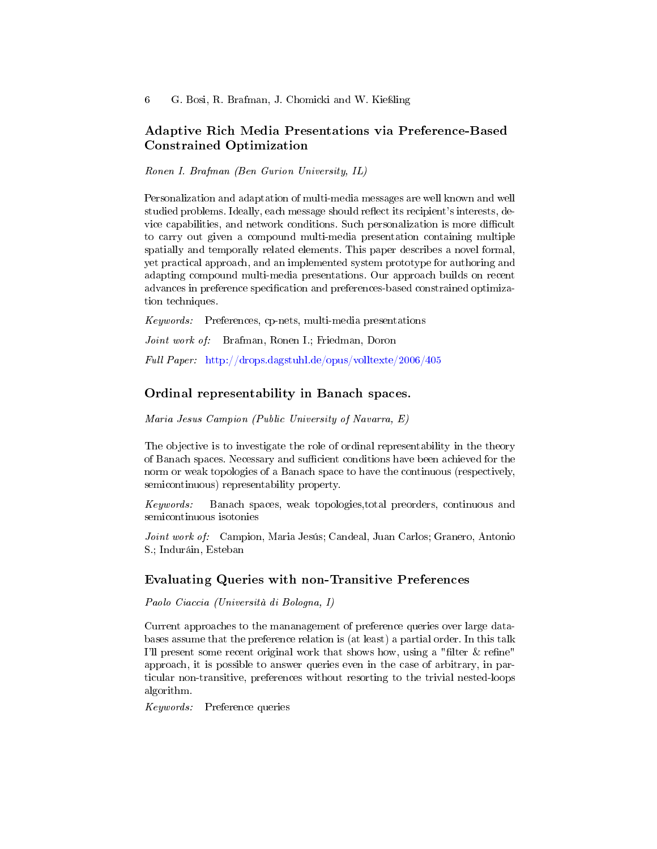## Adaptive Rich Media Presentations via Preference-Based Constrained Optimization

Ronen I. Brafman (Ben Gurion University, IL)

Personalization and adaptation of multi-media messages are well known and well studied problems. Ideally, each message should reflect its recipient's interests, device capabilities, and network conditions. Such personalization is more difficult to carry out given a compound multi-media presentation containing multiple spatially and temporally related elements. This paper describes a novel formal, yet practical approach, and an implemented system prototype for authoring and adapting compound multi-media presentations. Our approach builds on recent advances in preference specification and preferences-based constrained optimization techniques.

Keywords: Preferences, cp-nets, multi-media presentations

Joint work of: Brafman, Ronen I.; Friedman, Doron

Full Paper: <http://drops.dagstuhl.de/opus/volltexte/2006/405>

### Ordinal representability in Banach spaces.

Maria Jesus Campion (Public University of Navarra, E)

The objective is to investigate the role of ordinal representability in the theory of Banach spaces. Necessary and sufficient conditions have been achieved for the norm or weak topologies of a Banach space to have the continuous (respectively, semicontinuous) representability property.

Keywords: Banach spaces, weak topologies,total preorders, continuous and semicontinuous isotonies

Joint work of: Campion, Maria Jesús; Candeal, Juan Carlos; Granero, Antonio S.; Induráin, Esteban

### Evaluating Queries with non-Transitive Preferences

Paolo Ciaccia (Università di Bologna, I)

Current approaches to the mananagement of preference queries over large databases assume that the preference relation is (at least) a partial order. In this talk I'll present some recent original work that shows how, using a "filter  $&$  refine" approach, it is possible to answer queries even in the case of arbitrary, in particular non-transitive, preferences without resorting to the trivial nested-loops algorithm.

Keywords: Preference queries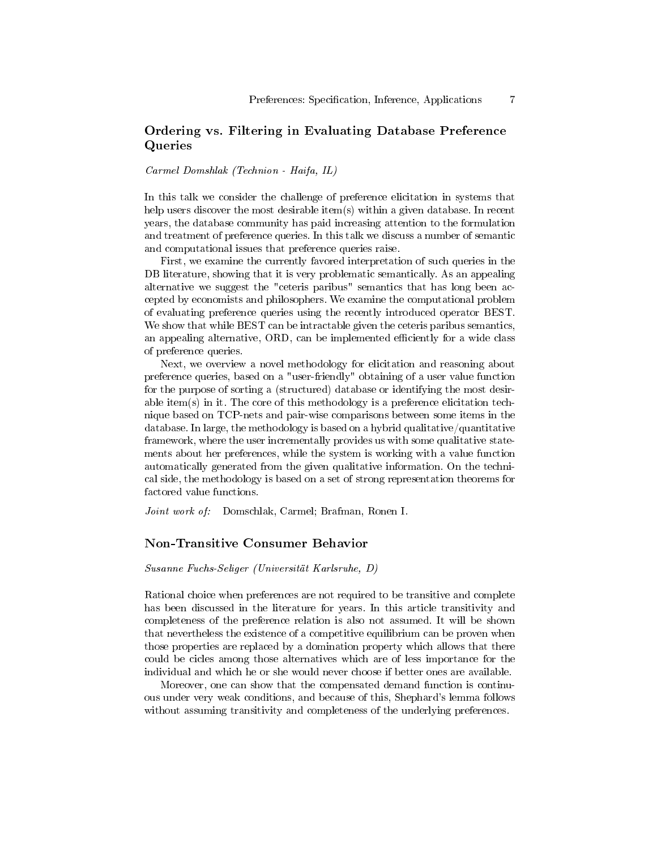## Ordering vs. Filtering in Evaluating Database Preference Queries

Carmel Domshlak (Technion - Haifa, IL)

In this talk we consider the challenge of preference elicitation in systems that help users discover the most desirable item(s) within a given database. In recent years, the database community has paid increasing attention to the formulation and treatment of preference queries. In this talk we discuss a number of semantic and computational issues that preference queries raise.

First, we examine the currently favored interpretation of such queries in the DB literature, showing that it is very problematic semantically. As an appealing alternative we suggest the "ceteris paribus" semantics that has long been accepted by economists and philosophers. We examine the computational problem of evaluating preference queries using the recently introduced operator BEST. We show that while BEST can be intractable given the ceteris paribus semantics, an appealing alternative, ORD, can be implemented efficiently for a wide class of preference queries.

Next, we overview a novel methodology for elicitation and reasoning about preference queries, based on a "user-friendly" obtaining of a user value function for the purpose of sorting a (structured) database or identifying the most desirable item(s) in it. The core of this methodology is a preference elicitation technique based on TCP-nets and pair-wise comparisons between some items in the database. In large, the methodology is based on a hybrid qualitative/quantitative framework, where the user incrementally provides us with some qualitative statements about her preferences, while the system is working with a value function automatically generated from the given qualitative information. On the technical side, the methodology is based on a set of strong representation theorems for factored value functions.

Joint work of: Domschlak, Carmel; Brafman, Ronen I.

#### Non-Transitive Consumer Behavior

Susanne Fuchs-Seliger (Universität Karlsruhe, D)

Rational choice when preferences are not required to be transitive and complete has been discussed in the literature for years. In this article transitivity and completeness of the preference relation is also not assumed. It will be shown that nevertheless the existence of a competitive equilibrium can be proven when those properties are replaced by a domination property which allows that there could be cicles among those alternatives which are of less importance for the individual and which he or she would never choose if better ones are available.

Moreover, one can show that the compensated demand function is continuous under very weak conditions, and because of this, Shephard's lemma follows without assuming transitivity and completeness of the underlying preferences.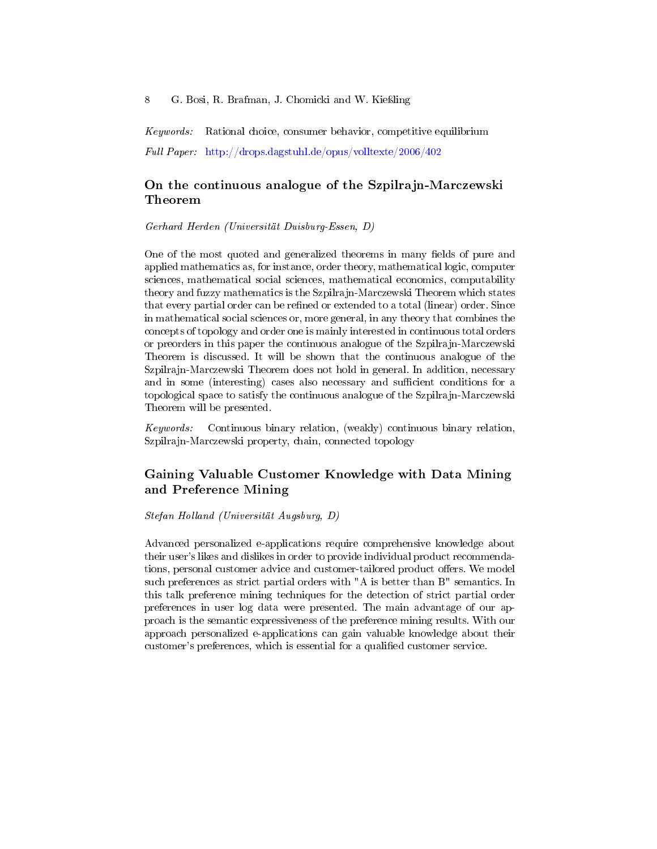Keywords: Rational choice, consumer behavior, competitive equilibrium Full Paper: <http://drops.dagstuhl.de/opus/volltexte/2006/402>

## On the continuous analogue of the Szpilrajn-Marczewski Theorem

Gerhard Herden (Universität Duisburg-Essen, D)

One of the most quoted and generalized theorems in many fields of pure and applied mathematics as, for instance, order theory, mathematical logic, computer sciences, mathematical social sciences, mathematical economics, computability theory and fuzzy mathematics is the Szpilrajn-Marczewski Theorem which states that every partial order can be refined or extended to a total (linear) order. Since in mathematical social sciences or, more general, in any theory that combines the concepts of topology and order one is mainly interested in continuous total orders or preorders in this paper the continuous analogue of the Szpilrajn-Marczewski Theorem is discussed. It will be shown that the continuous analogue of the Szpilrajn-Marczewski Theorem does not hold in general. In addition, necessary and in some (interesting) cases also necessary and sufficient conditions for a topological space to satisfy the continuous analogue of the Szpilrajn-Marczewski Theorem will be presented.

Keywords: Continuous binary relation, (weakly) continuous binary relation, Szpilrajn-Marczewski property, chain, connected topology

## Gaining Valuable Customer Knowledge with Data Mining and Preference Mining

#### Stefan Holland (Universität Augsburg, D)

Advanced personalized e-applications require comprehensive knowledge about their user's likes and dislikes in order to provide individual product recommendations, personal customer advice and customer-tailored product offers. We model such preferences as strict partial orders with "A is better than B" semantics. In this talk preference mining techniques for the detection of strict partial order preferences in user log data were presented. The main advantage of our approach is the semantic expressiveness of the preference mining results. With our approach personalized e-applications can gain valuable knowledge about their customer's preferences, which is essential for a qualified customer service.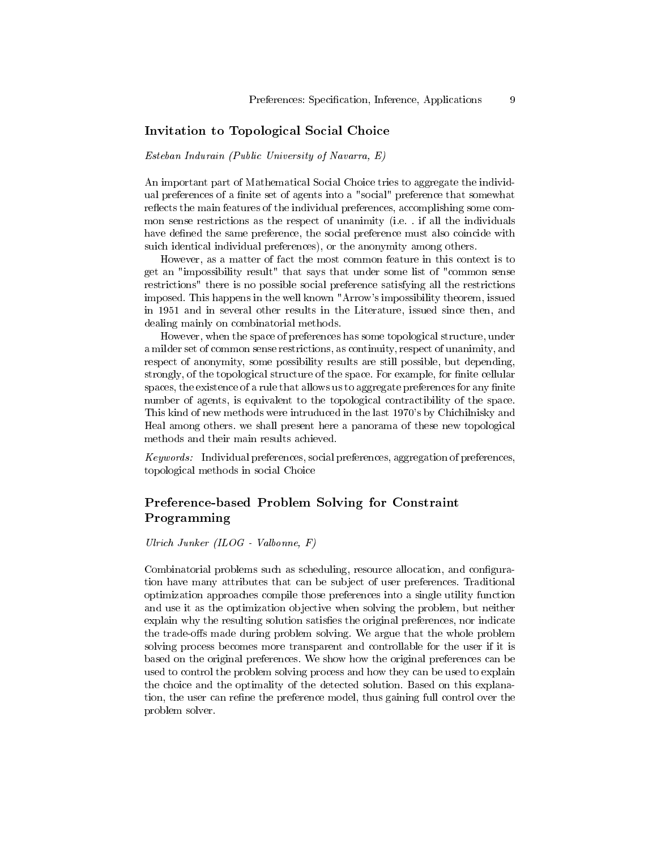### Invitation to Topological Social Choice

Esteban Indurain (Public University of Navarra, E)

An important part of Mathematical Social Choice tries to aggregate the individual preferences of a finite set of agents into a "social" preference that somewhat reflects the main features of the individual preferences, accomplishing some common sense restrictions as the respect of unanimity (i.e. . if all the individuals have defined the same preference, the social preference must also coincide with suich identical individual preferences), or the anonymity among others.

However, as a matter of fact the most common feature in this context is to get an "impossibility result" that says that under some list of "common sense restrictions" there is no possible social preference satisfying all the restrictions imposed. This happens in the well known "Arrow's impossibility theorem, issued in 1951 and in several other results in the Literature, issued since then, and dealing mainly on combinatorial methods.

However, when the space of preferences has some topological structure, under a milder set of common sense restrictions, as continuity, respect of unanimity, and respect of anonymity, some possibility results are still possible, but depending, strongly, of the topological structure of the space. For example, for finite cellular spaces, the existence of a rule that allows us to aggregate preferences for any finite number of agents, is equivalent to the topological contractibility of the space. This kind of new methods were intruduced in the last 1970's by Chichilnisky and Heal among others. we shall present here a panorama of these new topological methods and their main results achieved.

Keywords: Individual preferences, social preferences, aggregation of preferences, topological methods in social Choice

## Preference-based Problem Solving for Constraint Programming

Ulrich Junker (ILOG - Valbonne, F)

Combinatorial problems such as scheduling, resource allocation, and configuration have many attributes that can be subject of user preferences. Traditional optimization approaches compile those preferences into a single utility function and use it as the optimization objective when solving the problem, but neither explain why the resulting solution satisfies the original preferences, nor indicate the trade-offs made during problem solving. We argue that the whole problem solving process becomes more transparent and controllable for the user if it is based on the original preferences. We show how the original preferences can be used to control the problem solving process and how they can be used to explain the choice and the optimality of the detected solution. Based on this explanation, the user can refine the preference model, thus gaining full control over the problem solver.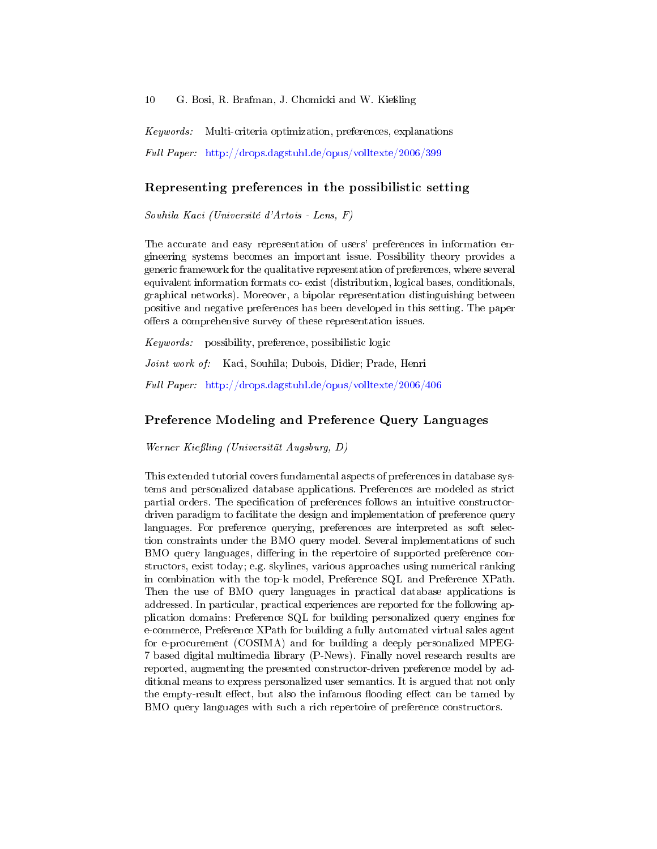Keywords: Multi-criteria optimization, preferences, explanations Full Paper: <http://drops.dagstuhl.de/opus/volltexte/2006/399>

### Representing preferences in the possibilistic setting

Souhila Kaci (Université d'Artois - Lens, F)

The accurate and easy representation of users' preferences in information engineering systems becomes an important issue. Possibility theory provides a generic framework for the qualitative representation of preferences, where several equivalent information formats co- exist (distribution, logical bases, conditionals, graphical networks). Moreover, a bipolar representation distinguishing between positive and negative preferences has been developed in this setting. The paper offers a comprehensive survey of these representation issues.

Keywords: possibility, preference, possibilistic logic

Joint work of: Kaci, Souhila; Dubois, Didier; Prade, Henri

Full Paper: <http://drops.dagstuhl.de/opus/volltexte/2006/406>

#### Preference Modeling and Preference Query Languages

Werner Kießling (Universität Augsburg, D)

This extended tutorial covers fundamental aspects of preferences in database systems and personalized database applications. Preferences are modeled as strict partial orders. The specification of preferences follows an intuitive constructordriven paradigm to facilitate the design and implementation of preference query languages. For preference querying, preferences are interpreted as soft selection constraints under the BMO query model. Several implementations of such BMO query languages, differing in the repertoire of supported preference constructors, exist today; e.g. skylines, various approaches using numerical ranking in combination with the top-k model, Preference SQL and Preference XPath. Then the use of BMO query languages in practical database applications is addressed. In particular, practical experiences are reported for the following application domains: Preference SQL for building personalized query engines for e-commerce, Preference XPath for building a fully automated virtual sales agent for e-procurement (COSIMA) and for building a deeply personalized MPEG-7 based digital multimedia library (P-News). Finally novel research results are reported, augmenting the presented constructor-driven preference model by additional means to express personalized user semantics. It is argued that not only the empty-result effect, but also the infamous flooding effect can be tamed by BMO query languages with such a rich repertoire of preference constructors.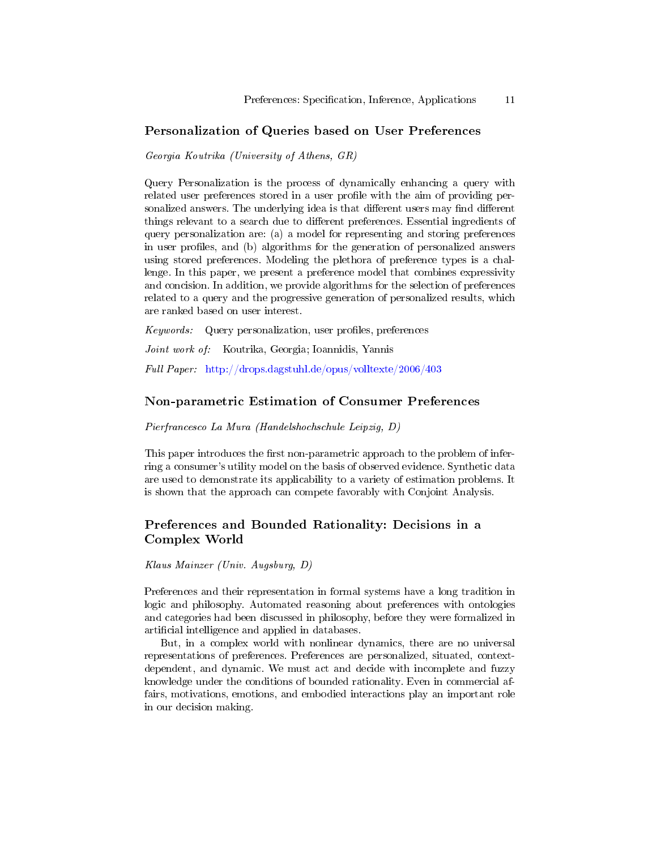### Personalization of Queries based on User Preferences

Georgia Koutrika (University of Athens, GR)

Query Personalization is the process of dynamically enhancing a query with related user preferences stored in a user profile with the aim of providing personalized answers. The underlying idea is that different users may find different things relevant to a search due to different preferences. Essential ingredients of query personalization are: (a) a model for representing and storing preferences in user profiles, and (b) algorithms for the generation of personalized answers using stored preferences. Modeling the plethora of preference types is a challenge. In this paper, we present a preference model that combines expressivity and concision. In addition, we provide algorithms for the selection of preferences related to a query and the progressive generation of personalized results, which are ranked based on user interest.

 $Keywords:$  Query personalization, user profiles, preferences

Joint work of: Koutrika, Georgia; Ioannidis, Yannis

Full Paper: <http://drops.dagstuhl.de/opus/volltexte/2006/403>

#### Non-parametric Estimation of Consumer Preferences

Pierfrancesco La Mura (Handelshochschule Leipzig, D)

This paper introduces the first non-parametric approach to the problem of inferring a consumer's utility model on the basis of observed evidence. Synthetic data are used to demonstrate its applicability to a variety of estimation problems. It is shown that the approach can compete favorably with Conjoint Analysis.

### Preferences and Bounded Rationality: Decisions in a Complex World

Klaus Mainzer (Univ. Augsburg, D)

Preferences and their representation in formal systems have a long tradition in logic and philosophy. Automated reasoning about preferences with ontologies and categories had been discussed in philosophy, before they were formalized in artificial intelligence and applied in databases.

But, in a complex world with nonlinear dynamics, there are no universal representations of preferences. Preferences are personalized, situated, contextdependent, and dynamic. We must act and decide with incomplete and fuzzy knowledge under the conditions of bounded rationality. Even in commercial affairs, motivations, emotions, and embodied interactions play an important role in our decision making.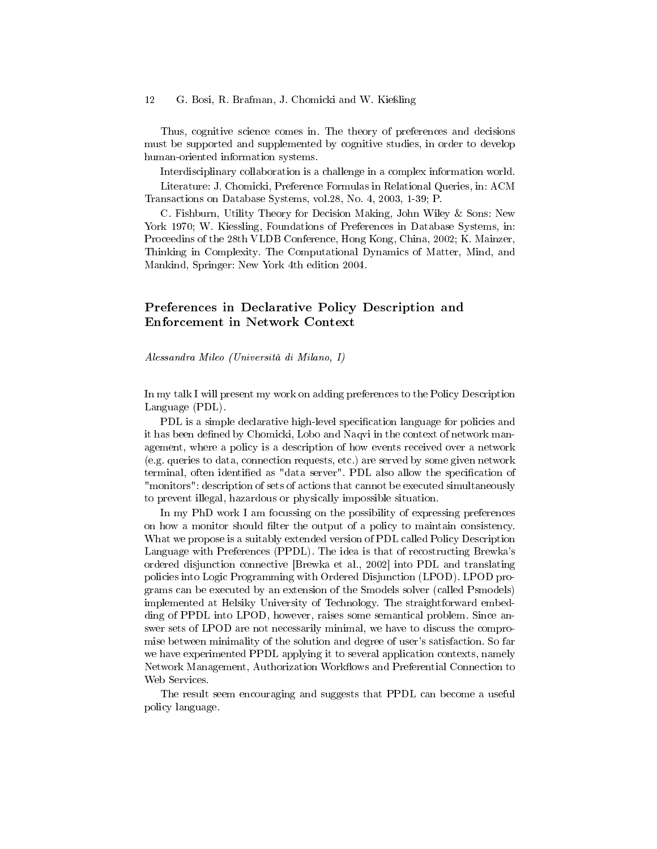Thus, cognitive science comes in. The theory of preferences and decisions must be supported and supplemented by cognitive studies, in order to develop human-oriented information systems.

Interdisciplinary collaboration is a challenge in a complex information world. Literature: J. Chomicki, Preference Formulas in Relational Queries, in: ACM Transactions on Database Systems, vol.28, No. 4, 2003, 1-39; P.

C. Fishburn, Utility Theory for Decision Making, John Wiley & Sons: New York 1970; W. Kiessling, Foundations of Preferences in Database Systems, in: Proceedins of the 28th VLDB Conference, Hong Kong, China, 2002; K. Mainzer, Thinking in Complexity. The Computational Dynamics of Matter, Mind, and Mankind, Springer: New York 4th edition 2004.

## Preferences in Declarative Policy Description and Enforcement in Network Context

#### Alessandra Mileo (Università di Milano, I)

In my talk I will present my work on adding preferences to the Policy Description Language (PDL).

PDL is a simple declarative high-level specification language for policies and it has been defined by Chomicki, Lobo and Naqvi in the context of network management, where a policy is a description of how events received over a network (e.g. queries to data, connection requests, etc.) are served by some given network terminal, often identified as "data server". PDL also allow the specification of "monitors": description of sets of actions that cannot be executed simultaneously to prevent illegal, hazardous or physically impossible situation.

In my PhD work I am focussing on the possibility of expressing preferences on how a monitor should filter the output of a policy to maintain consistency. What we propose is a suitably extended version of PDL called Policy Description Language with Preferences (PPDL). The idea is that of recostructing Brewka's ordered disjunction connective [Brewka et al., 2002] into PDL and translating policies into Logic Programming with Ordered Disjunction (LPOD). LPOD programs can be executed by an extension of the Smodels solver (called Psmodels) implemented at Helsiky University of Technology. The straightforward embedding of PPDL into LPOD, however, raises some semantical problem. Since answer sets of LPOD are not necessarily minimal, we have to discuss the compromise between minimality of the solution and degree of user's satisfaction. So far we have experimented PPDL applying it to several application contexts, namely Network Management, Authorization Workflows and Preferential Connection to Web Services.

The result seem encouraging and suggests that PPDL can become a useful policy language.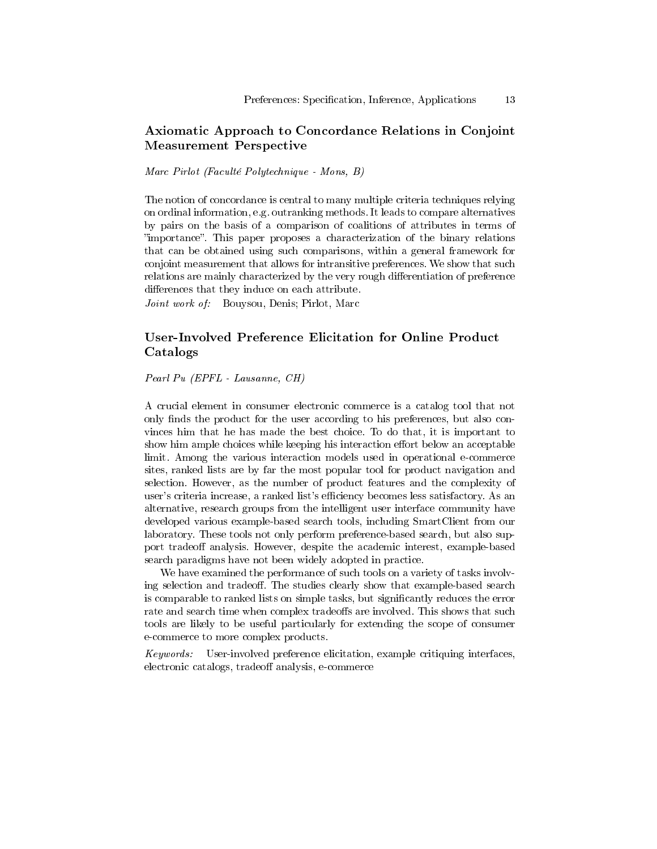### Axiomatic Approach to Concordance Relations in Conjoint Measurement Perspective

Marc Pirlot (Faculté Polytechnique - Mons, B)

The notion of concordance is central to many multiple criteria techniques relying on ordinal information, e.g. outranking methods. It leads to compare alternatives by pairs on the basis of a comparison of coalitions of attributes in terms of importance. This paper proposes a characterization of the binary relations that can be obtained using such comparisons, within a general framework for conjoint measurement that allows for intransitive preferences. We show that such relations are mainly characterized by the very rough differentiation of preference differences that they induce on each attribute.

Joint work of: Bouysou, Denis; Pirlot, Marc

## User-Involved Preference Elicitation for Online Product Catalogs

Pearl Pu (EPFL - Lausanne, CH)

A crucial element in consumer electronic commerce is a catalog tool that not only finds the product for the user according to his preferences, but also convinces him that he has made the best choice. To do that, it is important to show him ample choices while keeping his interaction effort below an acceptable limit. Among the various interaction models used in operational e-commerce sites, ranked lists are by far the most popular tool for product navigation and selection. However, as the number of product features and the complexity of user's criteria increase, a ranked list's efficiency becomes less satisfactory. As an alternative, research groups from the intelligent user interface community have developed various example-based search tools, including SmartClient from our laboratory. These tools not only perform preference-based search, but also support tradeoff analysis. However, despite the academic interest, example-based search paradigms have not been widely adopted in practice.

We have examined the performance of such tools on a variety of tasks involving selection and tradeoff. The studies clearly show that example-based search is comparable to ranked lists on simple tasks, but signicantly reduces the error rate and search time when complex tradeoffs are involved. This shows that such tools are likely to be useful particularly for extending the scope of consumer e-commerce to more complex products.

Keywords: User-involved preference elicitation, example critiquing interfaces, electronic catalogs, tradeoff analysis, e-commerce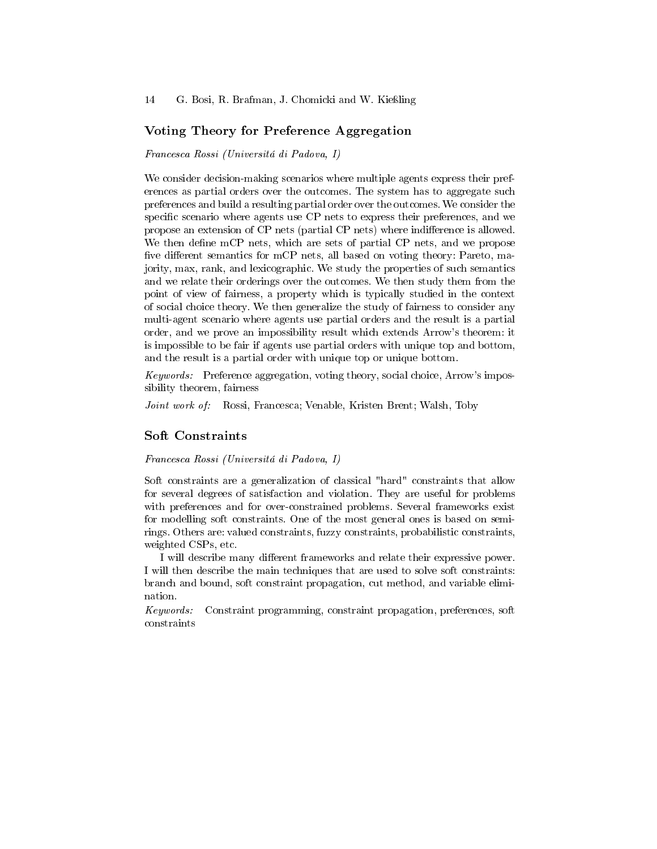### Voting Theory for Preference Aggregation

Francesca Rossi (Universitá di Padova, I)

We consider decision-making scenarios where multiple agents express their preferences as partial orders over the outcomes. The system has to aggregate such preferences and build a resulting partial order over the outcomes. We consider the specific scenario where agents use CP nets to express their preferences, and we propose an extension of CP nets (partial CP nets) where indifference is allowed. We then define mCP nets, which are sets of partial CP nets, and we propose five different semantics for mCP nets, all based on voting theory: Pareto, majority, max, rank, and lexicographic. We study the properties of such semantics and we relate their orderings over the outcomes. We then study them from the point of view of fairness, a property which is typically studied in the context of social choice theory. We then generalize the study of fairness to consider any multi-agent scenario where agents use partial orders and the result is a partial order, and we prove an impossibility result which extends Arrow's theorem: it is impossible to be fair if agents use partial orders with unique top and bottom, and the result is a partial order with unique top or unique bottom.

Keywords: Preference aggregation, voting theory, social choice, Arrow's impossibility theorem, fairness

Joint work of: Rossi, Francesca; Venable, Kristen Brent; Walsh, Toby

### Soft Constraints

Francesca Rossi (Universitá di Padova, I)

Soft constraints are a generalization of classical "hard" constraints that allow for several degrees of satisfaction and violation. They are useful for problems with preferences and for over-constrained problems. Several frameworks exist for modelling soft constraints. One of the most general ones is based on semirings. Others are: valued constraints, fuzzy constraints, probabilistic constraints, weighted CSPs, etc.

I will describe many different frameworks and relate their expressive power. I will then describe the main techniques that are used to solve soft constraints: branch and bound, soft constraint propagation, cut method, and variable elimination.

Keywords: Constraint programming, constraint propagation, preferences, soft constraints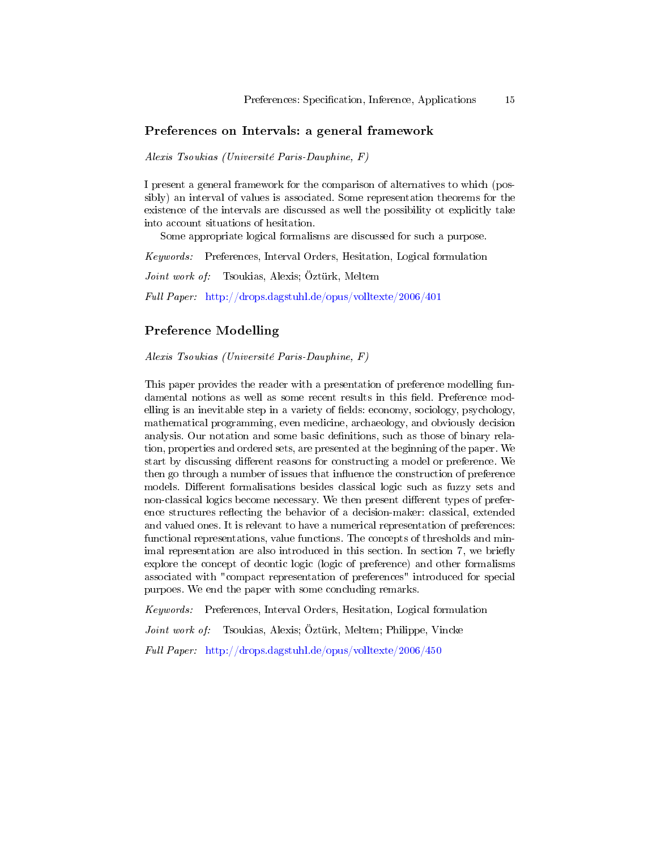### Preferences on Intervals: a general framework

Alexis Tsoukias (Université Paris-Dauphine, F)

I present a general framework for the comparison of alternatives to which (possibly) an interval of values is associated. Some representation theorems for the existence of the intervals are discussed as well the possibility ot explicitly take into account situations of hesitation.

Some appropriate logical formalisms are discussed for such a purpose.

Keywords: Preferences, Interval Orders, Hesitation, Logical formulation

Joint work of: Tsoukias, Alexis; Öztürk, Meltem

Full Paper: <http://drops.dagstuhl.de/opus/volltexte/2006/401>

### Preference Modelling

Alexis Tsoukias (Université Paris-Dauphine, F)

This paper provides the reader with a presentation of preference modelling fundamental notions as well as some recent results in this field. Preference modelling is an inevitable step in a variety of fields: economy, sociology, psychology, mathematical programming, even medicine, archaeology, and obviously decision analysis. Our notation and some basic denitions, such as those of binary relation, properties and ordered sets, are presented at the beginning of the paper. We start by discussing different reasons for constructing a model or preference. We then go through a number of issues that influence the construction of preference models. Different formalisations besides classical logic such as fuzzy sets and non-classical logics become necessary. We then present different types of preference structures reflecting the behavior of a decision-maker: classical, extended and valued ones. It is relevant to have a numerical representation of preferences: functional representations, value functions. The concepts of thresholds and minimal representation are also introduced in this section. In section 7, we briefly explore the concept of deontic logic (logic of preference) and other formalisms associated with "compact representation of preferences" introduced for special purpoes. We end the paper with some concluding remarks.

Keywords: Preferences, Interval Orders, Hesitation, Logical formulation

Joint work of: Tsoukias, Alexis; Öztürk, Meltem; Philippe, Vincke

Full Paper: <http://drops.dagstuhl.de/opus/volltexte/2006/450>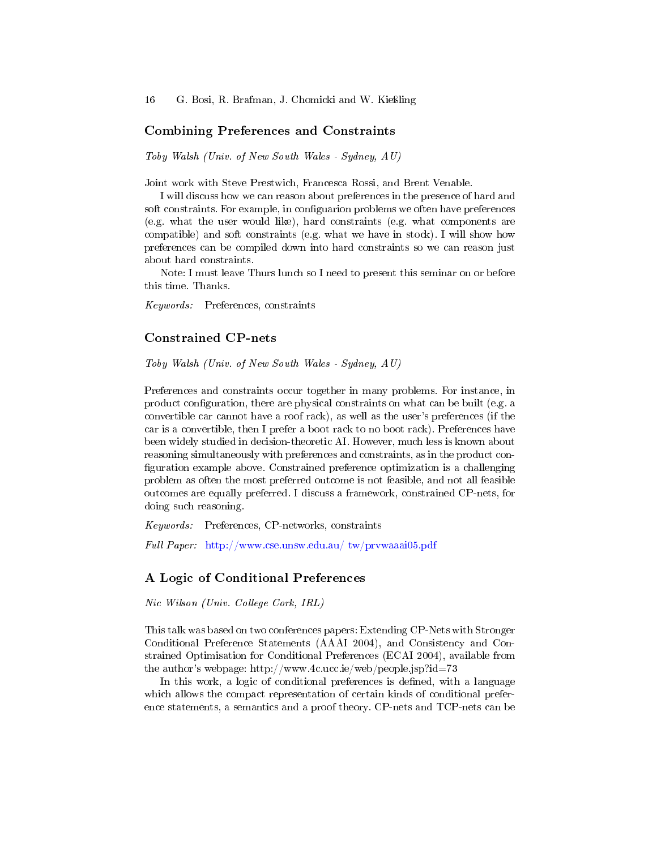#### Combining Preferences and Constraints

Toby Walsh (Univ. of New South Wales - Sydney, AU)

Joint work with Steve Prestwich, Francesca Rossi, and Brent Venable.

I will discuss how we can reason about preferences in the presence of hard and soft constraints. For example, in configuarion problems we often have preferences (e.g. what the user would like), hard constraints (e.g. what components are compatible) and soft constraints (e.g. what we have in stock). I will show how preferences can be compiled down into hard constraints so we can reason just about hard constraints.

Note: I must leave Thurs lunch so I need to present this seminar on or before this time. Thanks.

Keywords: Preferences, constraints

### Constrained CP-nets

Toby Walsh (Univ. of New South Wales - Sydney, AU)

Preferences and constraints occur together in many problems. For instance, in product conguration, there are physical constraints on what can be built (e.g. a convertible car cannot have a roof rack), as well as the user's preferences (if the car is a convertible, then I prefer a boot rack to no boot rack). Preferences have been widely studied in decision-theoretic AI. However, much less is known about reasoning simultaneously with preferences and constraints, as in the product con figuration example above. Constrained preference optimization is a challenging problem as often the most preferred outcome is not feasible, and not all feasible outcomes are equally preferred. I discuss a framework, constrained CP-nets, for doing such reasoning.

Keywords: Preferences, CP-networks, constraints

Full Paper: [http://www.cse.unsw.edu.au/ tw/prvwaaai05.pdf](http://www.cse.unsw.edu.au/~tw/prvwaaai05.pdf)

### A Logic of Conditional Preferences

Nic Wilson (Univ. College Cork, IRL)

This talk was based on two conferences papers: Extending CP-Nets with Stronger Conditional Preference Statements (AAAI 2004), and Consistency and Constrained Optimisation for Conditional Preferences (ECAI 2004), available from the author's webpage: http://www.4c.ucc.ie/web/people.jsp?id=73

In this work, a logic of conditional preferences is defined, with a language which allows the compact representation of certain kinds of conditional preference statements, a semantics and a proof theory. CP-nets and TCP-nets can be